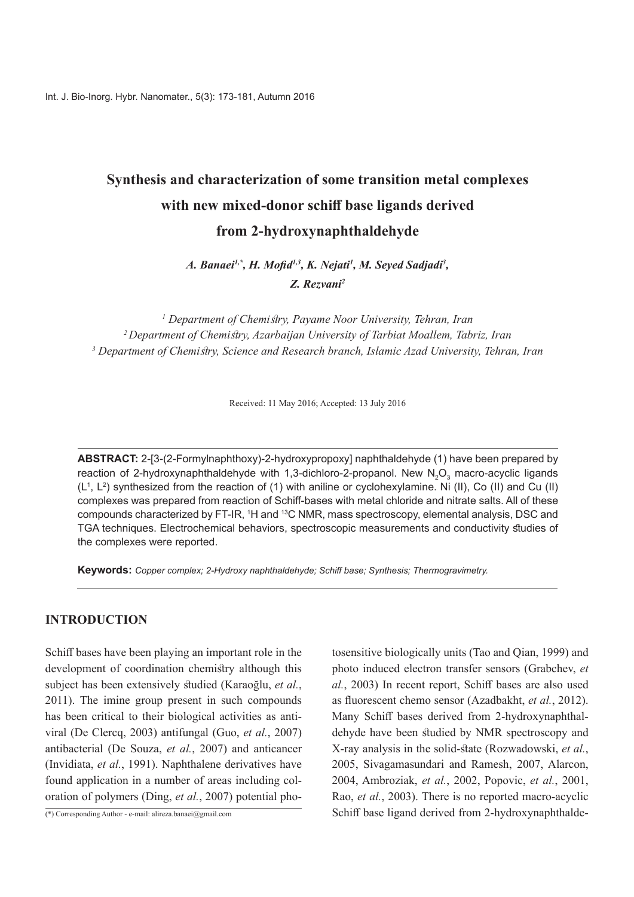# **Synthesis and characterization of some transition metal complexes** with new mixed-donor schiff base ligands derived from 2-hydroxynaphthaldehyde

*A. Banaei<sup>1,\*</sup>, H. Mofid<sup>1,3</sup>, K. Nejati<sup>1</sup>, M. Seyed Sadjadi<sup>3</sup>, 2Rezvani .Z*

<sup>1</sup> Department of Chemistry, Payame Noor University, Tehran, Iran <sup>2</sup> Department of Chemistry, Azarbaijan University of Tarbiat Moallem, Tabriz, Iran <sup>3</sup> Department of Chemistry, Science and Research branch, Islamic Azad University, Tehran, Iran

Received: 11 May 2016; Accepted: 13 July 2016

**ABSTRACT:** 2-[3-(2-Formylnaphthoxy)-2-hydroxypropoxy] naphthaldehyde (1) have been prepared by reaction of 2-hydroxynaphthaldehyde with 1,3-dichloro-2-propanol. New  $\mathsf{N}_2\mathsf{O}_3$  macro-acyclic ligands  $(L<sup>1</sup>, L<sup>2</sup>)$  synthesized from the reaction of (1) with aniline or cyclohexylamine. Ni (II), Co (II) and Cu (II) complexes was prepared from reaction of Schiff-bases with metal chloride and nitrate salts. All of these compounds characterized by FT-IR,  $^1$ H and  $^{13}$ C NMR, mass spectroscopy, elemental analysis, DSC and TGA techniques. Electrochemical behaviors, spectroscopic measurements and conductivity studies of the complexes were reported.

**Keywords:** Copper complex; 2-Hydroxy naphthaldehyde; Schiff base; Synthesis; Thermogravimetry.

# **INTRODUCTION**

Schiff bases have been playing an important role in the development of coordination chemistry although this subject has been extensively studied (Karaoğlu, et al., 2011). The imine group present in such compounds viral (De Clercq, 2003) antifungal (Guo, et al., 2007) has been critical to their biological activities as antiantibacterial (De Souza, et al., 2007) and anticancer (Invidiata, *et al.*, 1991). Naphthalene derivatives have found application in a number of areas including coloration of polymers (Ding, *et al.*, 2007) potential phofound application in a number of areas including col-

 $\overline{(*)}$  Corresponding Author - e-mail: alireza banaei@gmail.com

tosensitive biologically units (Tao and Qian, 1999) and photo induced electron transfer sensors (Grabchev, et al., 2003) In recent report, Schiff bases are also used as fluorescent chemo sensor (Azadbakht, et al., 2012). dehyde have been studied by NMR spectroscopy and Many Schiff bases derived from 2-hydroxynaphthal-*X*-ray analysis in the solid-state (Rozwadowski, et al., 2005, Sivagamasundari and Ramesh, 2007, Alarcon, 2004, *Ambroziak, et al., 2002, Popovic, et al., 2001,* Rao, *et al.*, 2003). There is no reported macro-acyclic Schiff base ligand derived from 2-hydroxynaphthalde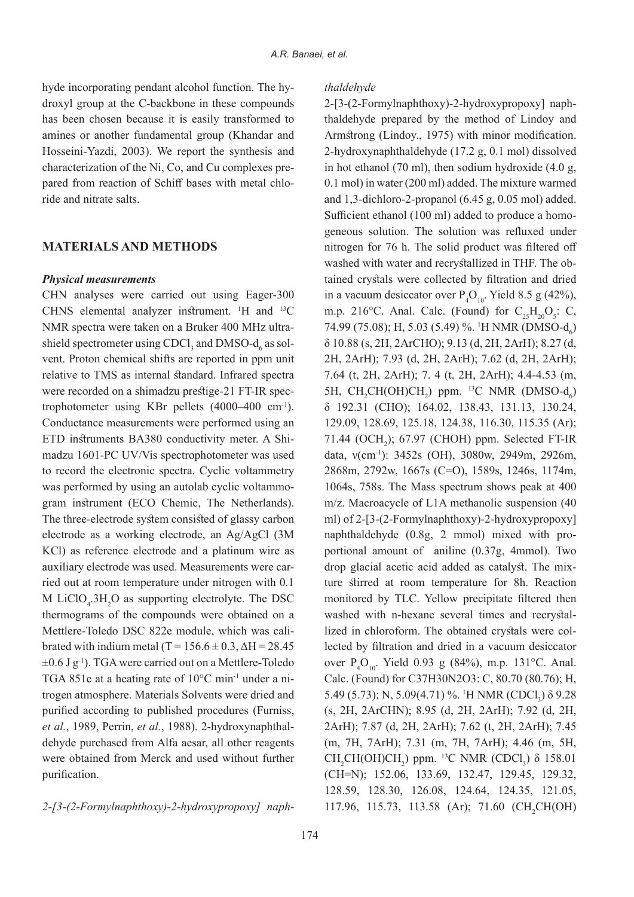hyde incorporating pendant alcohol function. The hydroxyl group at the C-backbone in these compounds has been chosen because it is easily transformed to amines or another fundamental group (Khandar and Hosseini-Yazdi, 2003). We report the synthesis and pared from reaction of Schiff bases with metal chlo-<br>ride and nitrate salts. characterization of the Ni, Co, and Cu complexes pre-<br>pared-from reaction of Schiff bases with metal chlocharacterization of the Ni, Co, and Cu complexes pre-

# **MATERIALS AND METHODS**

#### *Physical measurements*

CHN analyses were carried out using Eager-300 CHNS elemental analyzer instrument.  $H$  and  $^{13}C$ NMR spectra were taken on a Bruker 400 MHz ultrashield spectrometer using CDCl<sub>3</sub> and DMSO- $d_6$  as solvent. Proton chemical shifts are reported in ppm unit NMR spectra were taken on a Bruker 400 MHz ultrarelative to TMS as internal standard. Infrared spectra trophotometer using KBr pellets  $(4000-400 \text{ cm}^{-1})$ . were recorded on a shimadzu prestige-21 FT-IR spec-Conductance measurements were performed using an madzu 1601-PC UV/Vis spectrophotometer was used ETD instruments BA380 conductivity meter. A Shito record the electronic spectra. Cyclic voltammetry gram instrument (ECO Chemic, The Netherlands). was performed by using an autolab cyclic voltammo-The three-electrode system consisted of glassy carbon electrode as a working electrode, an  $A\varrho/A\varrho Cl$  (3M KCl) as reference electrode and a platinum wire as ried out at room temperature under nitrogen with 0.1 auxiliary electrode was used. Measurements were car-M  $LiClO<sub>4</sub>$ :3H<sub>2</sub>O as supporting electrolyte. The DSC thermograms of the compounds were obtained on a brated with indium metal  $(T = 156.6 \pm 0.3, \Delta H = 28.45)$ Mettlere-Toledo DSC 822e module, which was cali- $\pm 0.6$  J g<sup>-1</sup>). TGA were carried out on a Mettlere-Toledo trogen atmosphere. Materials Solvents were dried and TGA 851e at a heating rate of  $10^{\circ}$ C min<sup>-1</sup> under a nipurified according to published procedures (Furniss, dehyde purchased from Alfa aesar, all other reagents et al., 1989, Perrin, et al., 1988). 2-hydroxynaphthalwere obtained from Merck and used without further purification.

2-[3-(2-Formylnaphthoxy)-2-hydroxypropoxy] naph-

#### *thaldehyde*

thaldehyde prepared by the method of Lindoy and 2-[3-(2-Formylnaphthoxy)-2-hydroxypropoxy] naph-Armstrong (Lindoy., 1975) with minor modification. 2-hydroxynaphthaldehyde (17.2 g, 0.1 mol) dissolved in hot ethanol (70 ml), then sodium hydroxide  $(4.0 g,$  $(0.1 \text{ mol})$  in water  $(200 \text{ ml})$  added. The mixture warmed and 1,3-dichloro-2-propanol  $(6.45 \text{ g}, 0.05 \text{ mol})$  added. geneous solution. The solution was refluxed under Sufficient ethanol (100 ml) added to produce a homonitrogen for 76 h. The solid product was filtered off tained crystals were collected by filtration and dried washed with water and recrystallized in THF. The obin a vacuum desiccator over  $P_4O_{10}$ . Yield 8.5 g (42%), m.p. 216°C. Anal. Calc. (Found) for  $C_{25}H_{20}O_5$ : C, 74.99 (75.08); H, 5.03 (5.49) %. <sup>1</sup>H NMR (DMSO-d<sub>6</sub>)  $\delta$  10.88 (s, 2H, 2ArCHO); 9.13 (d, 2H, 2ArH); 8.27 (d, 2H, 2ArH); 7.93 (d, 2H, 2ArH); 7.62 (d, 2H, 2ArH); 7.64 (t, 2H, 2ArH); 7. 4 (t, 2H, 2ArH); 4.4-4.53 (m, 5H,  $CH_2CH(OH)CH_2$ ) ppm. <sup>13</sup>C NMR (DMSO-d<sub>6</sub>)  $δ$  192.31 (CHO); 164.02, 138.43, 131.13, 130.24, 129.09, 128.69, 125.18, 124.38, 116.30, 115.35 (Ar); 71.44 (OCH<sub>2</sub>); 67.97 (CHOH) ppm. Selected FT-IR data, v(cm<sup>-1</sup>): 3452s (OH), 3080w, 2949m, 2926m, 2868 m, 2792 w, 1667s (C=O), 1589s, 1246s, 1174 m,  $1064$ s,  $758$ s. The Mass spectrum shows peak at  $400$  $m/z$ . Macroacycle of L1A methanolic suspension  $(40)$ ml) of  $2-[3-(2-Formylnaphthoxy)-2-hydroxypropoxy]$ portional amount of aniline  $(0.37g, 4mmol)$ . Two naphthaldehyde  $(0.8g, 2 \text{ mmol})$  mixed with proture stirred at room temperature for 8h. Reaction drop glacial acetic acid added as catalyst. The mixmonitored by TLC. Yellow precipitate filtered then lected by filtration and dried in a vacuum desiccator lized in chloroform. The obtained crystals were colwashed with n-hexane several times and recrystalover  $P_4O_{10}$ . Yield 0.93 g (84%), m.p. 131°C. Anal. Calc. (Found) for C37H30N2O3: C, 80.70 (80.76); H, 5.49 (5.73); N, 5.09(4.71) %. <sup>1</sup>H NMR (CDCl<sub>3</sub>) δ 9.28 (s, 2H, 2ArCHN); 8.95 (d, 2H, 2ArH); 7.92 (d, 2H, 2ArH); 7.87 (d, 2H, 2ArH); 7.62 (t, 2H, 2ArH); 7.45 (m, 7H, 7ArH); 7.31 (m, 7H, 7ArH); 4.46 (m, 5H, CH<sub>2</sub>CH(OH)CH<sub>2</sub>) ppm.<sup>13</sup>C NMR (CDCl<sub>3</sub>)  $\delta$  158.01 (CH=N); 152.06, 133.69, 132.47, 129.45, 129.32, 128.59, 128.30, 126.08, 124.64, 124.35, 121.05, 117.96, 115.73, 113.58 (Ar); 71.60 (CH<sub>2</sub>CH(OH)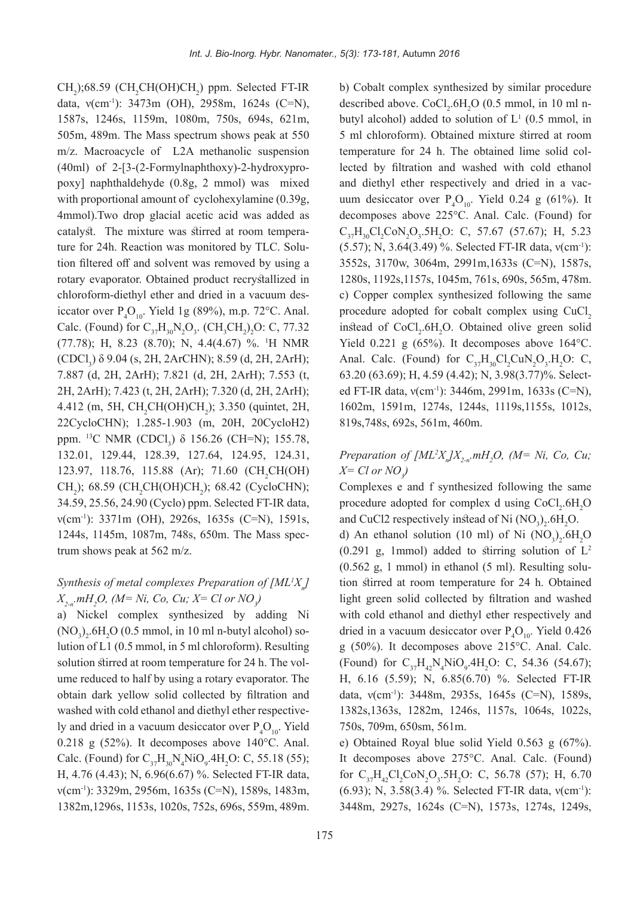$CH_2$ );68.59 (CH<sub>2</sub>CH(OH)CH<sub>2</sub>) ppm. Selected FT-IR data,  $v(cm^{-1})$ : 3473m (OH), 2958m, 1624s (C=N), 1587s, 1246s, 1159m, 1080m, 750s, 694s, 621m, 505m, 489m. The Mass spectrum shows peak at 550 m/z. Macroacycle of L2A methanolic suspension poxy] naphthaldehyde (0.8g, 2 mmol) was mixed  $(40ml)$  of  $2-[3-(2-Formylnaphthoxy)-2-hydroxypro$ with proportional amount of cyclohexylamine  $(0.39g,$ 4mmol). Two drop glacial acetic acid was added as tion filtered off and solvent was removed by using a ture for 24h. Reaction was monitored by TLC. Solucatalyst. The mixture was stirred at room temperarotary evaporator. Obtained product recrystallized in chloroform-diethyl ether and dried in a vacuum des-<br>iccator over  $P_4O_{10}$ . Yield 1g (89%), m.p. 72°C. Anal. chloroform-diethyl ether and dried in a vacuum des-Calc. (Found) for  $C_{37}H_{30}N_2O_3$ . (CH<sub>3</sub>CH<sub>2</sub>)<sub>2</sub>O: C, 77.32 (77.78); H, 8.23 (8.70); N, 4.4(4.67) %. <sup>1</sup>H NMR (CDCl<sub>3</sub>)  $\delta$  9.04 (s, 2H, 2ArCHN); 8.59 (d, 2H, 2ArH); 7.887 (d, 2H, 2ArH); 7.821 (d, 2H, 2ArH); 7.553 (t, 2H, 2ArH); 7.423 (t, 2H, 2ArH); 7.320 (d, 2H, 2ArH);  $4.412$  (m, 5H, CH<sub>2</sub>CH(OH)CH<sub>2</sub>); 3.350 (quintet, 2H, 22CycloCHN); 1.285-1.903 (m, 20H, 20CycloH2) ppm. <sup>13</sup>C NMR (CDCl<sub>3</sub>) δ 156.26 (CH=N); 155.78, 132.01, 129.44, 128.39, 127.64, 124.95, 124.31, 123.97, 118.76, 115.88 (Ar); 71.60 (CH<sub>2</sub>CH(OH)  $CH_2$ ); 68.59 (CH<sub>2</sub>CH(OH)CH<sub>2</sub>); 68.42 (CycloCHN); 34.59, 25.56, 24.90 (Cyclo) ppm. Selected FT-IR data,  $v(cm^{-1})$ : 3371 m (OH), 2926s, 1635s (C=N), 1591s, 1244s, 1145m, 1087m, 748s, 650m. The Mass spectrum shows peak at 562 m/z.

# *Synthesis of metal complexes Preparation of [ML<sup>1</sup>X<sub>n</sub>] X*<sub>2-n</sub> mH<sub>2</sub>O, (M= Ni, Co, Cu, X= Cl or NO<sub>3</sub>)

a) Nickel complex synthesized by adding Ni  $(NO<sub>3</sub>)<sub>2</sub>$ .6H<sub>2</sub>O (0.5 mmol, in 10 ml n-butyl alcohol) so lution of L1  $(0.5 \text{ mmol}, \text{in } 5 \text{ ml } \text{chloroform})$ . Resulting ume reduced to half by using a rotary evaporator. The solution stirred at room temperature for 24 h. The volobtain dark yellow solid collected by filtration and washed with cold ethanol and diethyl ether respective-<br>ly and dried in a vacuum desiccator over  $P_4O_{10}$ . Yield washed with cold ethanol and diethyl ether respective-0.218 g  $(52\%)$ . It decomposes above 140°C. Anal. Calc. (Found) for  $C_{37}H_{30}N_4NiO_9.4H_2O$ : C, 55.18 (55); H, 4.76 (4.43); N, 6.96(6.67) %. Selected FT-IR data,  $v(cm<sup>-1</sup>)$ : 3329m, 2956m, 1635s (C=N), 1589s, 1483m, 1382 m, 1296 s, 1153 s, 1020 s, 752 s, 696 s, 559 m, 489 m.

b) Cobalt complex synthesized by similar procedure described above.  $CoCl<sub>2</sub>$ .6H<sub>2</sub>O (0.5 mmol, in 10 ml n described above.  $CoCl_2.6H_2O$  (0.5 mmol, in 10 ml n-<br>butyl alcohol) added to solution of  $L^1$  (0.5 mmol, in 5 ml chloroform). Obtained mixture stirred at room lected by filtration and washed with cold ethanol temperature for 24 h. The obtained lime solid coland diethyl ether respectively and dried in a vacuum desiccator over  $P_4O_{10}$ . Yield 0.24 g (61%). It and diethyl ether respectively and dried in a vacdecomposes above 225°C. Anal. Calc. (Found) for  $C_{37}H_{30}Cl_2CoN_2O_3.5H_2O$ : C, 57.67 (57.67); H, 5.23 (5.57); N, 3.64(3.49) %. Selected FT-IR data, v(cm<sup>-1</sup>): 3552s, 3170w, 3064m, 2991m, 1633s (C=N), 1587s, 1280s, 1192s, 1157s, 1045m, 761s, 690s, 565m, 478m. c) Copper complex synthesized following the same procedure adopted for cobalt complex using CuCl, instead of  $CoCl<sub>2</sub>.6H<sub>2</sub>O$ . Obtained olive green solid Yield  $0.221$  g  $(65%)$ . It decomposes above 164 °C. Anal. Calc. (Found) for  $C_{37}H_{30}Cl_2CuN_2O_3.H_2O$ : C, ed FT-IR data,  $v(cm^{-1})$ : 3446m, 2991m, 1633s (C=N),  $63.20 (63.69);$  H,  $4.59 (4.42);$  N,  $3.98(3.77)%$ . Select-1602m, 1591m, 1274s, 1244s, 1119s, 1155s, 1012s, 819s,748s, 692s, 561m, 460m.

# *Preparation of*  $[ML^2X_n]X_{2-n}$ *mH<sub>2</sub>O*,  $(M=Ni, Co, Cu;$ *X*= Cl or NO<sub>3</sub>)

Complexes e and f synthesized following the same procedure adopted for complex d using  $CoCl<sub>2</sub>.6H<sub>2</sub>O$ and CuCl2 respectively instead of Ni  $(NO<sub>3</sub>)<sub>2</sub>$ .6H<sub>2</sub>O.

d) An ethanol solution (10 ml) of Ni  $(NO<sub>3</sub>)<sub>2</sub>$ .6H<sub>2</sub>O  $(0.291 \text{ g}, 1 \text{mmol})$  added to stirring solution of  $L^2$ tion stirred at room temperature for 24 h. Obtained  $(0.562 \text{ g}, 1 \text{ mmol})$  in ethanol  $(5 \text{ ml})$ . Resulting solulight green solid collected by filtration and washed with cold ethanol and diethyl ether respectively and dried in a vacuum desiccator over  $P_4O_{10}$ . Yield 0.426 g  $(50\%)$ . It decomposes above 215°C. Anal. Calc. (Found) for  $C_{37}H_{42}N_4NiO_9.4H_2O$ : C, 54.36 (54.67); H, 6.16 (5.59); N, 6.85 (6.70) %. Selected FT-IR data,  $v(cm^{-1})$ : 3448m, 2935s, 1645s (C=N), 1589s, 1382s, 1363s, 1282m, 1246s, 1157s, 1064s, 1022s, 750s, 709m, 650sm, 561m.

e) Obtained Royal blue solid Yield  $0.563$  g  $(67%)$ . It decomposes above 275°C. Anal. Calc. (Found) for  $C_{37}H_{42}Cl_2CoN_2O_3.5H_2O$ : C, 56.78 (57); H, 6.70  $(6.93)$ ; N, 3.58 $(3.4)$ %. Selected FT-IR data,  $v(cm^{-1})$ : 3448 m, 2927s, 1624s (C=N), 1573s, 1274s, 1249s,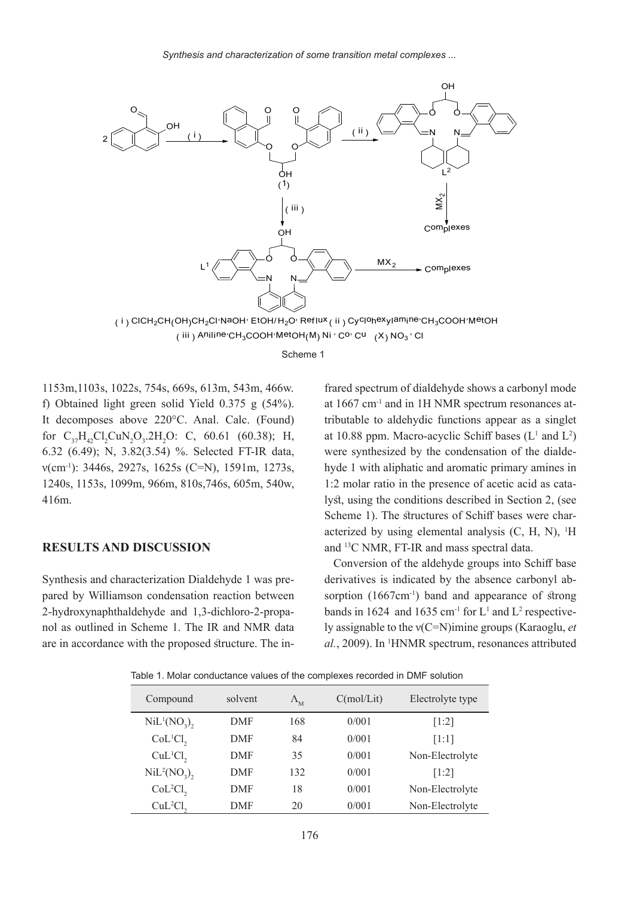

Scheme 1

1153 m, 1103 s, 1022 s, 754 s, 669 s, 613 m, 543 m, 466 w. f) Obtained light green solid Yield  $0.375$  g  $(54\%)$ . It decomposes above 220°C. Anal. Calc. (Found) for  $C_{37}H_{42}Cl_2CuN_2O_3.2H_2O$ : C, 60.61 (60.38); H, 6.32 (6.49); N, 3.82(3.54) %. Selected FT-IR data,  $v(cm^{-1})$ : 3446s, 2927s, 1625s (C=N), 1591m, 1273s, 1240s, 1153s, 1099m, 966m, 810s,746s, 605m, 540w, 416m.

## **RESULTS AND DISCUSSION**

pared by Williamson condensation reaction between Synthesis and characterization Dialdehyde 1 was prenol as outlined in Scheme 1. The IR and NMR data 2-hydroxynaphthaldehyde and 1,3-dichloro-2-propaare in accordance with the proposed structure. The in-

frared spectrum of dialdehyde shows a carbonyl mode tributable to aldehydic functions appear as a singlet at  $1667$  cm<sup>-1</sup> and in 1H NMR spectrum resonances atat 10.88 ppm. Macro-acyclic Schiff bases  $(L<sup>1</sup>$  and  $L<sup>2</sup>)$ hyde 1 with aliphatic and aromatic primary amines in were synthesized by the condensation of the dialdelyst, using the conditions described in Section 2, (see 1:2 molar ratio in the presence of acetic acid as cata-Scheme 1). The structures of Schiff bases were characterized by using elemental analysis  $(C, H, N)$ , <sup>1</sup>H Scheme 1). The structures of Schiff bases were charand <sup>13</sup>C NMR, FT-IR and mass spectral data.

Conversion of the aldehyde groups into Schiff base sorption  $(1667 \text{cm}^{-1})$  band and appearance of strong derivatives is indicated by the absence carbonyl abbands in 1624 and 1635 cm<sup>-1</sup> for  $L^1$  and  $L^2$  respective *ly* assignable to the  $v(C=N)$  imine groups (Karaoglu, *et*) *al.*, 2009). In <sup>1</sup>HNMR spectrum, resonances attributed

| Table 1. Molar conductance values of the complexes recorded in DMF solution |  |
|-----------------------------------------------------------------------------|--|
|-----------------------------------------------------------------------------|--|

| Compound                            | solvent    | $\Lambda_{\rm M}$ | C(mol/Lit) | Electrolyte type |  |
|-------------------------------------|------------|-------------------|------------|------------------|--|
| $NiL^{1}(NO_{3}),$                  | <b>DMF</b> | 168               | 0/001      | [1:2]            |  |
| CoL <sup>1</sup> Cl <sub>2</sub>    | <b>DMF</b> | 84                | 0/001      | [1:1]            |  |
| CuL <sup>1</sup> Cl <sub>2</sub>    | <b>DMF</b> | 35                | 0/001      | Non-Electrolyte  |  |
| NiL <sup>2</sup> (NO <sub>3</sub> ) | <b>DMF</b> | 132               | 0/001      | [1:2]            |  |
| CoL <sup>2</sup> Cl <sub>2</sub>    | <b>DMF</b> | 18                | 0/001      | Non-Electrolyte  |  |
| CuL <sup>2</sup> Cl <sub>2</sub>    | DMF        | 20                | 0/001      | Non-Electrolyte  |  |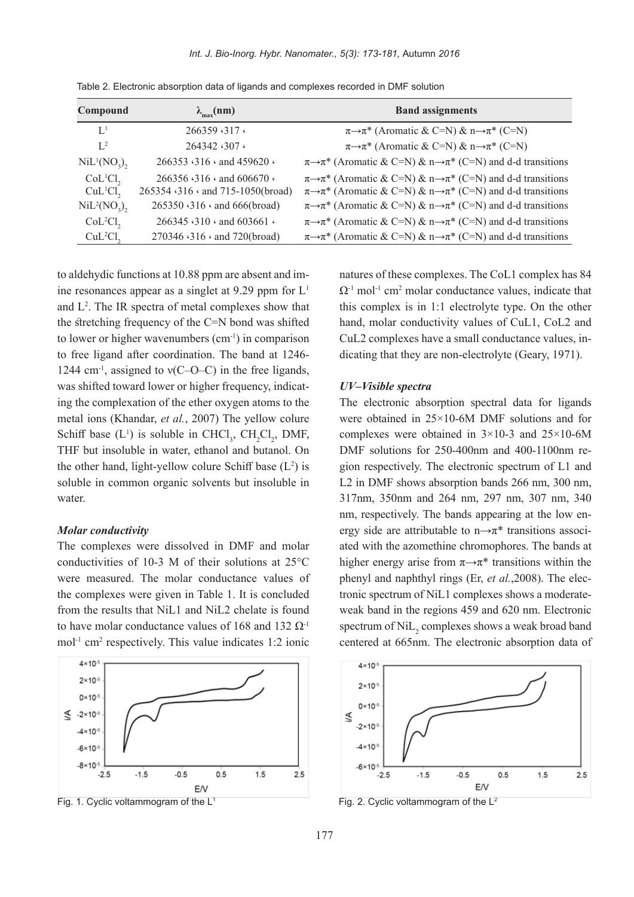*Int. J. Bio-Inorg. Hybr. Nanomater., 5(3): 173-181, Autumn 2016* 

| Compound                            | $\lambda_{\text{max}}(nm)$                    | <b>Band assignments</b>                                                                    |
|-------------------------------------|-----------------------------------------------|--------------------------------------------------------------------------------------------|
| $\mathbf{L}^1$                      | 266359.317.                                   | $\pi \rightarrow \pi^*$ (Aromatic & C=N) & $n \rightarrow \pi^*$ (C=N)                     |
| $L^2$                               | 264342.307.                                   | $\pi \rightarrow \pi^*$ (Aromatic & C=N) & $n \rightarrow \pi^*$ (C=N)                     |
| $NiL^{1}(NO_{3}),$                  | 266353 $\cdot$ 316 $\cdot$ and 459620 $\cdot$ | $\pi \rightarrow \pi^*$ (Aromatic & C=N) & $n \rightarrow \pi^*$ (C=N) and d-d transitions |
| CoL <sup>1</sup> Cl <sub>2</sub>    | 266356 $\cdot$ 316 $\cdot$ and 606670 $\cdot$ | $\pi \rightarrow \pi^*$ (Aromatic & C=N) & $n \rightarrow \pi^*$ (C=N) and d-d transitions |
| CuL <sup>1</sup> Cl <sub>2</sub>    | 265354 316 and 715-1050(broad)                | $\pi \rightarrow \pi^*$ (Aromatic & C=N) & $n \rightarrow \pi^*$ (C=N) and d-d transitions |
| NiL <sup>2</sup> (NO <sub>3</sub> ) | 265350 · 316 · and 666(broad)                 | $\pi \rightarrow \pi^*$ (Aromatic & C=N) & $n \rightarrow \pi^*$ (C=N) and d-d transitions |
| CoL <sup>2</sup> Cl <sub>2</sub>    | 266345 <310 \cdot and 603661 \cdot            | $\pi \rightarrow \pi^*$ (Aromatic & C=N) & $n \rightarrow \pi^*$ (C=N) and d-d transitions |
| CuL <sup>2</sup> Cl <sub>2</sub>    | 270346 <316 \cdot and 720(broad)              | $\pi \rightarrow \pi^*$ (Aromatic & C=N) & $n \rightarrow \pi^*$ (C=N) and d-d transitions |

Table 2. Electronic absorption data of ligands and complexes recorded in DMF solution

ine resonances appear as a singlet at 9.29 ppm for  $L<sup>1</sup>$ to aldehydic functions at 10.88 ppm are absent and imand  $L^2$ . The IR spectra of metal complexes show that the stretching frequency of the  $C=N$  bond was shifted to lower or higher wavenumbers  $(cm<sup>-1</sup>)$  in comparison to free ligand after coordination. The band at 1246-1244 cm<sup>-1</sup>, assigned to  $v(C-O-C)$  in the free ligands, ing the complexation of the ether oxygen atoms to the was shifted toward lower or higher frequency, indicatmetal ions (Khandar, et al., 2007) The yellow colure Schiff base  $(L^1)$  is soluble in CHCl<sub>3</sub>, CH<sub>2</sub>Cl<sub>2</sub>, DMF, THF but insoluble in water, ethanol and butanol. On the other hand, light-yellow colure Schiff base  $(L^2)$  is soluble in common organic solvents but insoluble in water.

# *Molar conductivity*

The complexes were dissolved in DMF and molar conductivities of 10-3 M of their solutions at  $25^{\circ}$ C were measured. The molar conductance values of the complexes were given in Table 1. It is concluded from the results that NiL1 and NiL2 chelate is found to have molar conductance values of 168 and 132  $\Omega$ <sup>-1</sup> mol<sup>-1</sup> cm<sup>2</sup> respectively. This value indicates 1:2 ionic



natures of these complexes. The CoL1 complex has 84  $\Omega$ <sup>-1</sup> mol<sup>-1</sup> cm<sup>2</sup> molar conductance values, indicate that this complex is in 1:1 electrolyte type. On the other hand, molar conductivity values of CuL1, CoL2 and dicating that they are non-electrolyte (Geary, 1971). CuL2 complexes have a small conductance values, in-

#### $UV$ -*Visible spectra*

The electronic absorption spectral data for ligands were obtained in  $25 \times 10$ -6M DMF solutions and for complexes were obtained in  $3 \times 10$ -3 and  $25 \times 10$ -6M gion respectively. The electronic spectrum of L1 and DMF solutions for 250-400 nm and 400-1100 hm re-L2 in DMF shows absorption bands 266 nm, 300 nm, 317nm, 350nm and 264 nm, 297 nm, 307 nm, 340 ated with the azomethine chromophores. The bands at ergy side are attributable to  $n \rightarrow \pi^*$  transitions associnm, respectively. The bands appearing at the low enhigher energy arise from  $\pi \rightarrow \pi^*$  transitions within the tronic spectrum of NiL1 complexes shows a moderate-<br>weak band in the regions 459 and 620 nm. Electronic phenyl and naphthyl rings (Er, *et al.*,2008). The electronic spectrum of NiL1 complexes shows a moderatespectrum of  $\mathrm{Nil}_2$  complexes shows a weak broad band centered at 665nm. The electronic absorption data of

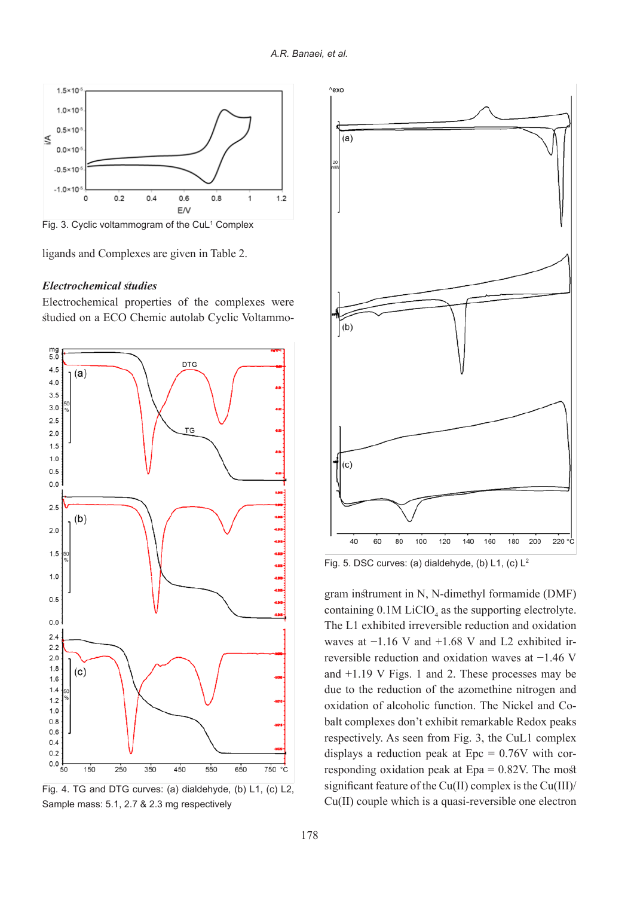

Fig. 3. Cyclic voltammogram of the CuL<sup>1</sup> Complex

ligands and Complexes are given in Table 2.

## *studies Electrochemical*

Electrochemical properties of the complexes were studied on a ECO Chemic autolab Cyclic Voltammo-







Fig. 5. DSC curves: (a) dialdehyde, (b) L1, (c)  $L^2$ 

containing  $0.1M$  LiClO<sub>4</sub> as the supporting electrolyte. The L1 exhibited irreversible reduction and oxidation reversible reduction and oxidation waves at  $-1.46$  V waves at  $-1.16$  V and  $+1.68$  V and L2 exhibited irand  $+1.19$  V Figs. 1 and 2. These processes may be due to the reduction of the azomethine nitrogen and balt complexes don't exhibit remarkable Redox peaks oxidation of alcoholic function. The Nickel and Corespectively. As seen from Fig. 3, the CuL1 complex responding oxidation peak at  $Epa = 0.82V$ . The most displays a reduction peak at  $Epc = 0.76V$  with corsignificant feature of the  $Cu(II)$  complex is the  $Cu(III)/$  $Cu(II)$  couple which is a quasi-reversible one electron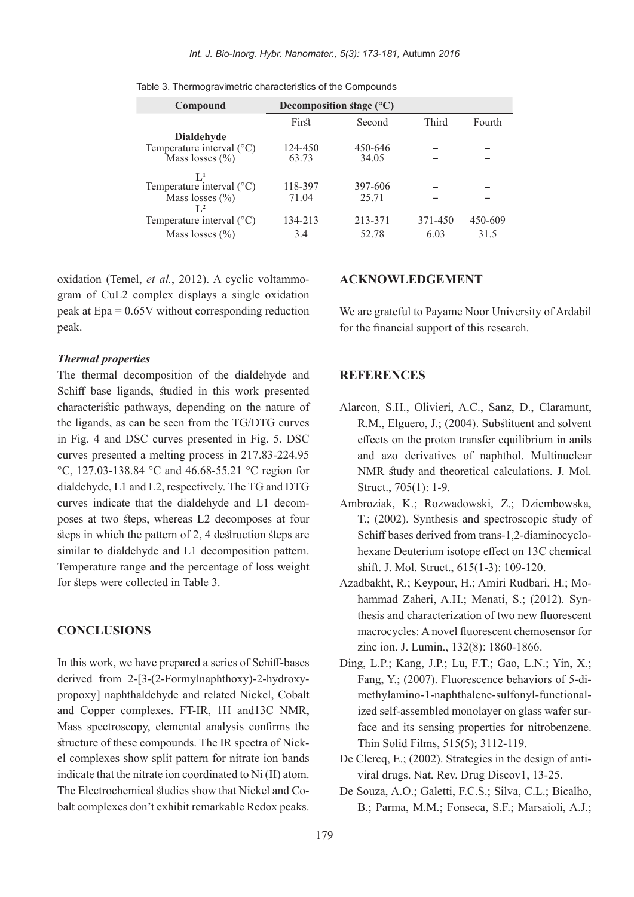| Compound                             | Decomposition stage $(^{\circ}C)$ |         |         |         |  |
|--------------------------------------|-----------------------------------|---------|---------|---------|--|
|                                      | First                             | Second  | Third   | Fourth  |  |
| <b>Dialdehyde</b>                    |                                   |         |         |         |  |
| Temperature interval $(^{\circ}C)$   | 124-450                           | 450-646 |         |         |  |
| Mass losses $(\% )$                  | 63.73                             | 34.05   |         |         |  |
| $\mathbf{L}^1$                       |                                   |         |         |         |  |
| Temperature interval $(^{\circ}C)$   | 118-397                           | 397-606 |         |         |  |
| Mass losses $(\% )$                  | 71.04                             | 25.71   |         |         |  |
| $\mathbf{L}^2$                       |                                   |         |         |         |  |
| Temperature interval $({}^{\circ}C)$ | 134-213                           | 213-371 | 371-450 | 450-609 |  |
| Mass losses $(\% )$                  | 3.4                               | 52.78   | 6.03    | 31.5    |  |

Table 3. Thermogravimetric characteristics of the Compounds

gram of CuL2 complex displays a single oxidation oxidation (Temel, et al., 2012). A cyclic voltammopeak at  $Epa = 0.65V$  without corresponding reduction .peak

#### *Thermal properties*

The thermal decomposition of the dialdehyde and Schiff base ligands, studied in this work presented characteristic pathways, depending on the nature of the ligands, as can be seen from the TG/DTG curves in Fig. 4 and DSC curves presented in Fig. 5. DSC curves presented a melting process in  $217.83 - 224.95$ °C, 127.03-138.84 °C and 46.68-55.21 °C region for dialdehyde,  $L1$  and  $L2$ , respectively. The TG and DTG poses at two steps, whereas L2 decomposes at four curves indicate that the dialdehyde and L1 decomsteps in which the pattern of  $2$ , 4 destruction steps are similar to dialdehyde and L1 decomposition pattern. Temperature range and the percentage of loss weight for steps were collected in Table 3.

#### **CONCLUSIONS**

In this work, we have prepared a series of Schiff-bases propoxy] naphthaldehyde and related Nickel, Cobalt derived from  $2-[3-(2-Formylnaphthoxy)-2-hydroxy$ and Copper complexes. FT-IR, 1H and 13C NMR, Mass spectroscopy, elemental analysis confirms the el complexes show split pattern for nitrate ion bands structure of these compounds. The IR spectra of Nickindicate that the nitrate ion coordinated to  $Ni (II)$  atom. balt complexes don't exhibit remarkable Redox peaks. The Electrochemical studies show that Nickel and Co-

# **ACKNOWLEDGEMENT**

We are grateful to Payame Noor University of Ardabil for the financial support of this research.

## **REFERENCES**

- Alarcon, S.H., Olivieri, A.C., Sanz, D., Claramunt, R.M., Elguero, J.; (2004). Substituent and solvent effects on the proton transfer equilibrium in anils and azo derivatives of naphthol. Multinuclear NMR study and theoretical calculations. J. Mol. Struct., 705(1): 1-9.
- Ambroziak, K.; Rozwadowski, Z.; Dziembowska,  $T$ ; (2002). Synthesis and spectroscopic study of hexane Deuterium isotope effect on 13C chemical Schiff bases derived from trans-1,2-diaminocycloshift. J. Mol. Struct., 615(1-3): 109-120.
- thesis and characterization of two new fluorescent hammad Zaheri, A.H.; Menati, S.; (2012). Syn-Azadbakht, R.; Keypour, H.; Amiri Rudbari, H.; Momacrocycles: A novel fluorescent chemosensor for zinc ion. J. Lumin., 132(8): 1860-1866.
- Ding, L.P.; Kang, J.P.; Lu, F.T.; Gao, L.N.; Yin, X.; face and its sensing properties for nitrobenzene. ized self-assembled monolayer on glass wafer surmethylamino-1-naphthalene-sulfonyl-functional-Fang, Y.; (2007). Fluorescence behaviors of 5-di-Thin Solid Films, 515(5); 3112-119.
- viral drugs. Nat. Rev. Drug Discov1, 13-25. De Clercq, E.; (2002). Strategies in the design of anti-
- De Souza, A.O.; Galetti, F.C.S.; Silva, C.L.; Bicalho, B.; Parma, M.M.; Fonseca, S.F.; Marsaioli, A.J.;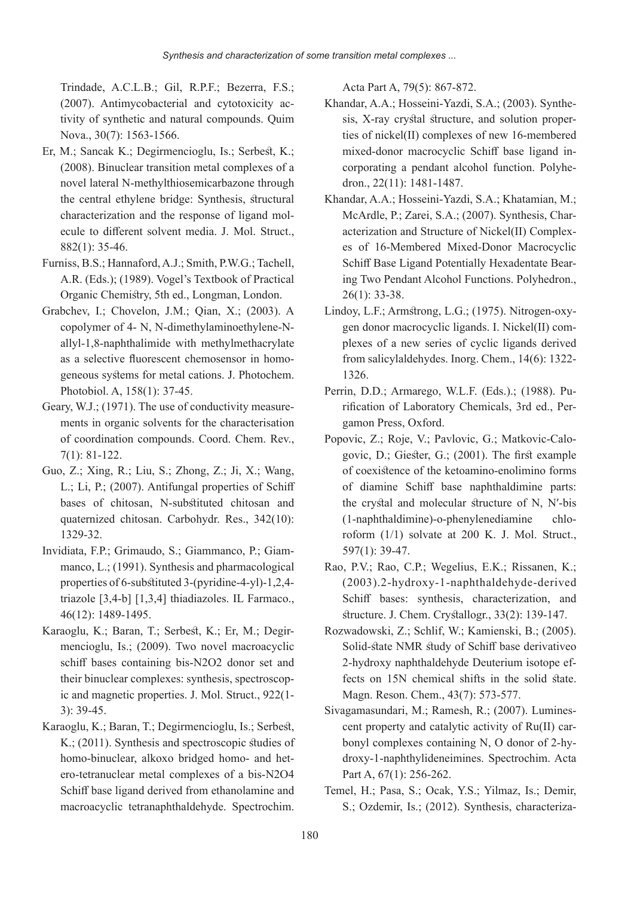Trindade, A.C.L.B.; Gil, R.P.F.; Bezerra, F.S.; tivity of synthetic and natural compounds. Quim  $(2007)$ . Antimycobacterial and cytotoxicity ac-Nova., 30(7): 1563-1566.

- Er, M.; Sancak K.; Degirmencioglu, Is.; Serbest, K.;  $(2008)$ . Binuclear transition metal complexes of a novel lateral N-methylthiosemicarbazone through the central ethylene bridge: Synthesis, structural ecule to different solvent media. J. Mol. Struct., characterization and the response of ligand mol- $882(1): 35-46.$
- Furniss, B.S.; Hannaford, A.J.; Smith, P.W.G.; Tachell, A.R. (Eds.); (1989). Vogel's Textbook of Practical Organic Chemistry, 5th ed., Longman, London.
- Grabchev, I.: Chovelon, J.M.: Oian, X.: (2003). A allyl-1,8-naphthalimide with methylmethacrylate copolymer of 4- N, N-dimethylaminoethylene-Ngeneous systems for metal cations. J. Photochem. as a selective fluorescent chemosensor in homo-Photobiol. A, 158(1): 37-45.
- ments in organic solvents for the characterisation Geary, W.J.; (1971). The use of conductivity measureof coordination compounds. Coord. Chem. Rev.,  $7(1): 81-122.$
- Guo, Z.; Xing, R.; Liu, S.; Zhong, Z.; Ji, X.; Wang, L.; Li, P.; (2007). Antifungal properties of Schiff bases of chitosan. N-substituted chitosan and quaternized chitosan. Carbohydr. Res., 342(10): 1329-32.
- manco, L.;  $(1991)$ . Synthesis and pharmacological Invidiata, F.P.; Grimaudo, S.; Giammanco, P.; Giamproperties of 6-substituted  $3$ -(pyridine-4-yl)-1,2,4triazole  $[3,4-b]$   $[1,3,4]$  thiadiazoles. IL Farmaco., 46(12): 1489-1495.
- mencioglu, Is.; (2009). Two novel macroacyclic Karaoglu, K.; Baran, T.; Serbest, K.; Er, M.; Degirschiff bases containing bis-N2O2 donor set and ic and magnetic properties. J. Mol. Struct.,  $922(1$ their binuclear complexes: synthesis, spectroscop- $3):39-45.$
- Karaoglu, K.; Baran, T.; Degirmencioglu, Is.; Serbest,  $K$ .; (2011). Synthesis and spectroscopic studies of ero-tetranuclear metal complexes of a bis-N2O4 homo-binuclear, alkoxo bridged homo- and het-Schiff base ligand derived from ethanolamine and macroacyclic tetranaphthaldehyde. Spectrochim.

Acta Part A, 79(5): 867-872.

- ties of nickel  $(II)$  complexes of new 16-membered sis, X-ray crystal structure, and solution proper-Khandar, A.A.; Hosseini-Yazdi, S.A.; (2003). Synthecorporating a pendant alcohol function. Polyhedron., 22(11): 1481-1487. mixed-donor macrocyclic Schiff base ligand in-<br>corporating a pendant alcohol function. Polyhemixed-donor macrocyclic Schiff base ligand in-
- Khandar, A.A.; Hosseini-Yazdi, S.A.; Khatamian, M.; es of 16-Membered Mixed-Donor Macrocyclic acterization and Structure of Nickel (II) Complex-McArdle, P.; Zarei, S.A.; (2007). Synthesis, Charing Two Pendant Alcohol Functions. Polyhedron.. Schiff Base Ligand Potentially Hexadentate Bear- $26(1): 33-38.$
- plexes of a new series of cyclic ligands derived gen donor macrocyclic ligands. I. Nickel (II) com-Lindov, L.F.; Armstrong, L.G.; (1975). Nitrogen-oxyfrom salicylaldehydes. Inorg. Chem.,  $14(6)$ :  $1322$ -1326.
- rification of Laboratory Chemicals, 3rd ed., Per-<br>gamon Press, Oxford. rin, D.D.; Armarego, W.L.F. (Eds.).; (1988). Pu-<br>rification of Laboratory Chemicals, 3rd ed., Per-Perrin, D.D.; Armarego, W.L.F. (Eds.).; (1988). Pu-
- govic, D.; Giester, G.;  $(2001)$ . The first example Popovic, Z.; Roje, V.; Pavlovic, G.; Matkovic-Caloof coexistence of the ketoamino-enolimino forms of diamine Schiff base naphthaldimine parts: the crystal and molecular structure of N, N'-bis  $(1$ -naphthaldimine)-o-phenylenediamine chlo-<br>roform  $(1/1)$  solvate at 200 K. J. Mol. Struct.  $(1$ -naphthaldimine)-o-phenylenediamine 597(1): 39-47.
- Rao, P.V.; Rao, C.P.; Wegelius, E.K.; Rissanen, K.;  $(2003)$ .2-hydroxy-1-naphthaldehyde-derived Schiff bases: synthesis, characterization, and  $$$ ftructure. J. Chem. Crystallogr.,  $33(2)$ : 139-147.
- Rozwadowski, Z.; Schlif, W.; Kamienski, B.; (2005). Solid-state NMR study of Schiff base derivativeo fects on 15N chemical shifts in the solid state. 2-hydroxy naphthaldehyde Deuterium isotope ef-Magn. Reson. Chem., 43(7): 573-577.
- droxy-1-naphthylideneimines. Spectrochim. Acta bonyl complexes containing N, O donor of 2-hycent property and catalytic activity of  $Ru(II)$  car-Sivagamasundari, M.; Ramesh, R.; (2007). Lumines-Part A, 67(1): 256-262.
- Temel, H.; Pasa, S.; Ocak, Y.S.; Yilmaz, Is.; Demir, S.; Ozdemir, Is.; (2012). Synthesis, characteriza-